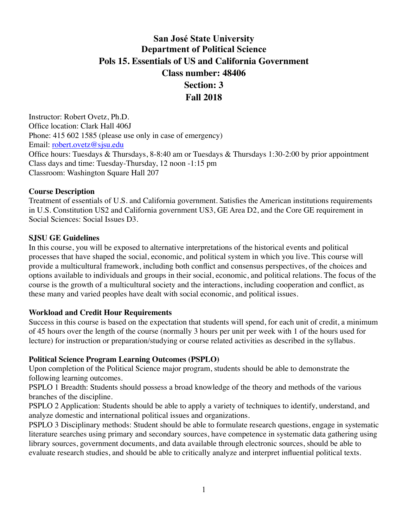# **San José State University Department of Political Science Pols 15. Essentials of US and California Government Class number: 48406 Section: 3 Fall 2018**

Instructor: Robert Ovetz, Ph.D. Office location: Clark Hall 406J Phone: 415 602 1585 (please use only in case of emergency) Email: [robert.ovetz@sjsu.edu](mailto:robert.ovetz@sjsu.edu) Office hours: Tuesdays & Thursdays, 8-8:40 am or Tuesdays & Thursdays 1:30-2:00 by prior appointment Class days and time: Tuesday-Thursday, 12 noon -1:15 pm Classroom: Washington Square Hall 207

#### **Course Description**

Treatment of essentials of U.S. and California government. Satisfies the American institutions requirements in U.S. Constitution US2 and California government US3, GE Area D2, and the Core GE requirement in Social Sciences: Social Issues D3.

#### **SJSU GE Guidelines**

In this course, you will be exposed to alternative interpretations of the historical events and political processes that have shaped the social, economic, and political system in which you live. This course will provide a multicultural framework, including both conflict and consensus perspectives, of the choices and options available to individuals and groups in their social, economic, and political relations. The focus of the course is the growth of a multicultural society and the interactions, including cooperation and conflict, as these many and varied peoples have dealt with social economic, and political issues.

#### **Workload and Credit Hour Requirements**

Success in this course is based on the expectation that students will spend, for each unit of credit, a minimum of 45 hours over the length of the course (normally 3 hours per unit per week with 1 of the hours used for lecture) for instruction or preparation/studying or course related activities as described in the syllabus.

#### **Political Science Program Learning Outcomes (PSPLO)**

Upon completion of the Political Science major program, students should be able to demonstrate the following learning outcomes.

PSPLO 1 Breadth: Students should possess a broad knowledge of the theory and methods of the various branches of the discipline.

PSPLO 2 Application: Students should be able to apply a variety of techniques to identify, understand, and analyze domestic and international political issues and organizations.

PSPLO 3 Disciplinary methods: Student should be able to formulate research questions, engage in systematic literature searches using primary and secondary sources, have competence in systematic data gathering using library sources, government documents, and data available through electronic sources, should be able to evaluate research studies, and should be able to critically analyze and interpret influential political texts.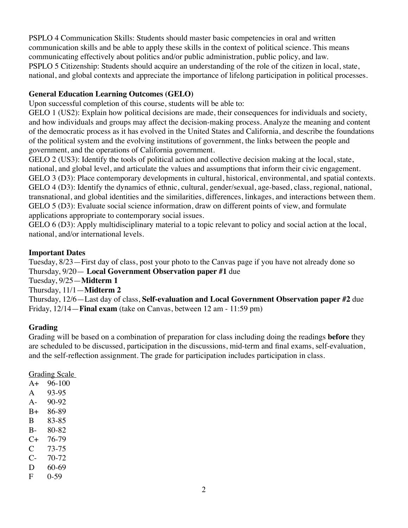PSPLO 4 Communication Skills: Students should master basic competencies in oral and written communication skills and be able to apply these skills in the context of political science. This means communicating effectively about politics and/or public administration, public policy, and law. PSPLO 5 Citizenship: Students should acquire an understanding of the role of the citizen in local, state, national, and global contexts and appreciate the importance of lifelong participation in political processes.

## **General Education Learning Outcomes (GELO)**

Upon successful completion of this course, students will be able to:

GELO 1 (US2): Explain how political decisions are made, their consequences for individuals and society, and how individuals and groups may affect the decision-making process. Analyze the meaning and content of the democratic process as it has evolved in the United States and California, and describe the foundations of the political system and the evolving institutions of government, the links between the people and government, and the operations of California government.

GELO 2 (US3): Identify the tools of political action and collective decision making at the local, state, national, and global level, and articulate the values and assumptions that inform their civic engagement. GELO 3 (D3): Place contemporary developments in cultural, historical, environmental, and spatial contexts. GELO 4 (D3): Identify the dynamics of ethnic, cultural, gender/sexual, age-based, class, regional, national, transnational, and global identities and the similarities, differences, linkages, and interactions between them. GELO 5 (D3): Evaluate social science information, draw on different points of view, and formulate applications appropriate to contemporary social issues.

GELO 6 (D3): Apply multidisciplinary material to a topic relevant to policy and social action at the local, national, and/or international levels.

## **Important Dates**

Tuesday, 8/23—First day of class, post your photo to the Canvas page if you have not already done so Thursday, 9/20— **Local Government Observation paper #1** due

Tuesday, 9/25—**Midterm 1**

Thursday, 11/1—**Midterm 2**

Thursday, 12/6—Last day of class, **Self-evaluation and Local Government Observation paper #2** due Friday, 12/14—**Final exam** (take on Canvas, between 12 am - 11:59 pm)

# **Grading**

Grading will be based on a combination of preparation for class including doing the readings **before** they are scheduled to be discussed, participation in the discussions, mid-term and final exams, self-evaluation, and the self-reflection assignment. The grade for participation includes participation in class.

## Grading Scale

| $A+$  | 96-100    |
|-------|-----------|
| A     | 93-95     |
| $A -$ | 90-92     |
| B+    | 86-89     |
| B     | 83-85     |
| $B -$ | 80-82     |
| $C+$  | 76-79     |
| C     | 73-75     |
| C-    | 70-72     |
| D     | $60 - 69$ |
| F     | $0-59$    |
|       |           |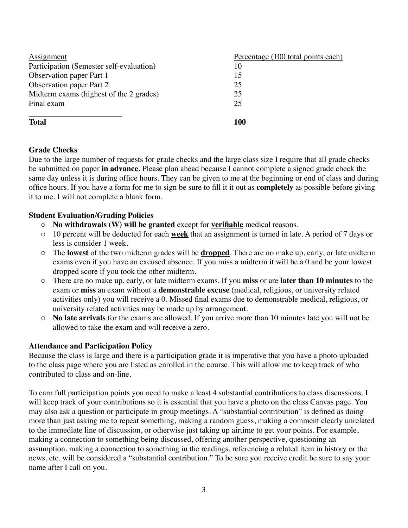| Assignment                               | Percentage (100 total points each) |
|------------------------------------------|------------------------------------|
| Participation (Semester self-evaluation) | 10                                 |
| Observation paper Part 1                 | 15                                 |
| <b>Observation paper Part 2</b>          | 25                                 |
| Midterm exams (highest of the 2 grades)  | 25                                 |
| Final exam                               | 25                                 |
| <b>Total</b>                             | 100                                |

## **Grade Checks**

Due to the large number of requests for grade checks and the large class size I require that all grade checks be submitted on paper **in advance**. Please plan ahead because I cannot complete a signed grade check the same day unless it is during office hours. They can be given to me at the beginning or end of class and during office hours. If you have a form for me to sign be sure to fill it it out as **completely** as possible before giving it to me. I will not complete a blank form.

#### **Student Evaluation/Grading Policies**

- o **No withdrawals (W) will be granted** except for **verifiable** medical reasons.
- o 10 percent will be deducted for each **week** that an assignment is turned in late. A period of 7 days or less is consider 1 week.
- o The **lowest** of the two midterm grades will be **dropped**. There are no make up, early, or late midterm exams even if you have an excused absence. If you miss a midterm it will be a 0 and be your lowest dropped score if you took the other midterm.
- o There are no make up, early, or late midterm exams. If you **miss** or are **later than 10 minutes** to the exam or **miss** an exam without a **demonstrable excuse** (medical, religious, or university related activities only) you will receive a 0. Missed final exams due to demonstrable medical, religious, or university related activities may be made up by arrangement.
- o **No late arrivals** for the exams are allowed. If you arrive more than 10 minutes late you will not be allowed to take the exam and will receive a zero.

#### **Attendance and Participation Policy**

Because the class is large and there is a participation grade it is imperative that you have a photo uploaded to the class page where you are listed as enrolled in the course. This will allow me to keep track of who contributed to class and on-line.

To earn full participation points you need to make a least 4 substantial contributions to class discussions. I will keep track of your contributions so it is essential that you have a photo on the class Canvas page. You may also ask a question or participate in group meetings. A "substantial contribution" is defined as doing more than just asking me to repeat something, making a random guess, making a comment clearly unrelated to the immediate line of discussion, or otherwise just taking up airtime to get your points. For example, making a connection to something being discussed, offering another perspective, questioning an assumption, making a connection to something in the readings, referencing a related item in history or the news, etc. will be considered a "substantial contribution." To be sure you receive credit be sure to say your name after I call on you.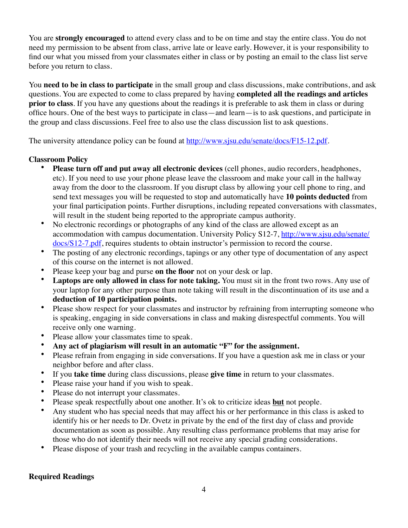You are **strongly encouraged** to attend every class and to be on time and stay the entire class. You do not need my permission to be absent from class, arrive late or leave early. However, it is your responsibility to find our what you missed from your classmates either in class or by posting an email to the class list serve before you return to class.

You **need to be in class to participate** in the small group and class discussions, make contributions, and ask questions. You are expected to come to class prepared by having **completed all the readings and articles prior to class**. If you have any questions about the readings it is preferable to ask them in class or during office hours. One of the best ways to participate in class—and learn—is to ask questions, and participate in the group and class discussions. Feel free to also use the class discussion list to ask questions.

The university attendance policy can be found at <http://www.sjsu.edu/senate/docs/F15-12.pdf>.

## **Classroom Policy**

- **Please turn off and put away all electronic devices** (cell phones, audio recorders, headphones, etc). If you need to use your phone please leave the classroom and make your call in the hallway away from the door to the classroom. If you disrupt class by allowing your cell phone to ring, and send text messages you will be requested to stop and automatically have **10 points deducted** from your final participation points. Further disruptions, including repeated conversations with classmates, will result in the student being reported to the appropriate campus authority.
- No electronic recordings or photographs of any kind of the class are allowed except as an [accommodation with campus documentation. University Policy S12-7, http://www.sjsu.edu/senate/](http://www.sjsu.edu/senate/docs/S12-7.pdf) docs/S12-7.pdf, requires students to obtain instructor's permission to record the course.
- The posting of any electronic recordings, tapings or any other type of documentation of any aspect of this course on the internet is not allowed.
- Please keep your bag and purse **on the floor** not on your desk or lap.
- **Laptops are only allowed in class for note taking.** You must sit in the front two rows. Any use of your laptop for any other purpose than note taking will result in the discontinuation of its use and a **deduction of 10 participation points.**
- Please show respect for your classmates and instructor by refraining from interrupting someone who is speaking, engaging in side conversations in class and making disrespectful comments. You will receive only one warning.
- Please allow your classmates time to speak.
- **Any act of plagiarism will result in an automatic "F" for the assignment.**
- Please refrain from engaging in side conversations. If you have a question ask me in class or your neighbor before and after class.
- If you **take time** during class discussions, please give time in return to your classmates.<br>• Please raise your hand if you wish to speak
- Please raise your hand if you wish to speak.
- Please do not interrupt your classmates.
- Please speak respectfully about one another. It's ok to criticize ideas **but** not people.<br>• Any student who has special needs that may affect his or her performance in this class
- Any student who has special needs that may affect his or her performance in this class is asked to identify his or her needs to Dr. Ovetz in private by the end of the first day of class and provide documentation as soon as possible. Any resulting class performance problems that may arise for those who do not identify their needs will not receive any special grading considerations.
- Please dispose of your trash and recycling in the available campus containers.

## **Required Readings**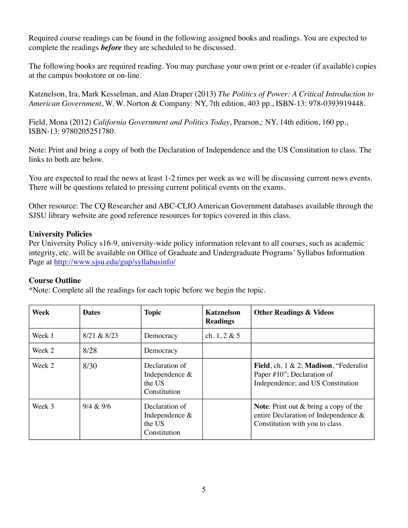Required course readings can be found in the following assigned books and readings. You are expected to complete the readings *before* they are scheduled to be discussed.

The following books are required reading. You may purchase your own print or e-reader (if available) copies at the campus bookstore or on-line.

Katznelson, Ira, Mark Kesselman, and Alan Draper (2013) *The Politics of Power: A Critical Introduction to American Government*, W. W. Norton & Company: NY, 7th edition, 403 pp., ISBN-13: 978-0393919448.

Field, Mona (2012) *California Government and Politics Today*, Pearson,: NY, 14th edition, 160 pp., ISBN-13: 9780205251780.

Note: Print and bring a copy of both the Declaration of Independence and the US Constitution to class. The links to both are below.

You are expected to read the news at least 1-2 times per week as we will be discussing current news events. There will be questions related to pressing current political events on the exams.

Other resource: The CQ Researcher and ABC-CLIO American Government databases available through the SJSU library website are good reference resources for topics covered in this class.

## **University Policies**

Per University Policy s16-9, university-wide policy information relevant to all courses, such as academic integrity, etc. will be available on Office of Graduate and Undergraduate Programs' Syllabus Information Page at<http://www.sjsu.edu/gup/syllabusinfo/>

## **Course Outline**

\*Note: Complete all the readings for each topic before we begin the topic.

| Week   | <b>Dates</b> | <b>Topic</b>                                                 | <b>Katznelson</b><br><b>Readings</b> | <b>Other Readings &amp; Videos</b>                                                                                            |
|--------|--------------|--------------------------------------------------------------|--------------------------------------|-------------------------------------------------------------------------------------------------------------------------------|
| Week 1 | 8/21 & 8/23  | Democracy                                                    | ch. $1, 2 \& 5$                      |                                                                                                                               |
| Week 2 | 8/28         | Democracy                                                    |                                      |                                                                                                                               |
| Week 2 | 8/30         | Declaration of<br>Independence &<br>the US<br>Constitution   |                                      | Field, ch. $1 \& 2$ ; Madison, "Federalist"<br>Paper $\#10$ "; Declaration of<br>Independence; and US Constitution            |
| Week 3 | 9/4 & 9/6    | Declaration of<br>Independence $&$<br>the US<br>Constitution |                                      | <b>Note:</b> Print out $\&$ bring a copy of the<br>entire Declaration of Independence $\&$<br>Constitution with you to class. |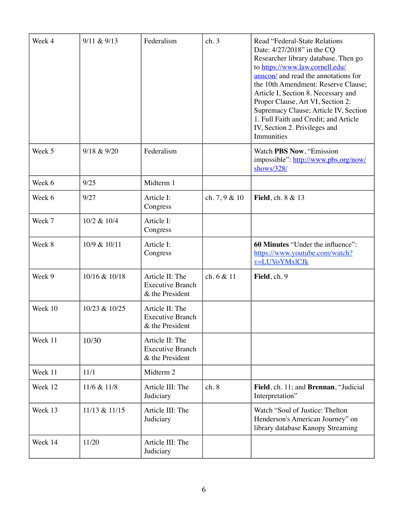| Week 4  | 9/11 & 9/13   | Federalism                                                    | ch.3            | <b>Read "Federal-State Relations</b><br>Date: 4/27/2018" in the CQ<br>Researcher library database. Then go<br>to https://www.law.cornell.edu/<br>annon/ and read the annotations for<br>the 10th Amendment: Reserve Clause;<br>Article I, Section 8. Necessary and<br>Proper Clause, Art VI, Section 2:<br>Supremacy Clause; Article IV, Section<br>1. Full Faith and Credit; and Article<br>IV, Section 2. Privileges and<br>Immunities |
|---------|---------------|---------------------------------------------------------------|-----------------|------------------------------------------------------------------------------------------------------------------------------------------------------------------------------------------------------------------------------------------------------------------------------------------------------------------------------------------------------------------------------------------------------------------------------------------|
| Week 5  | 9/18 & 9/20   | Federalism                                                    |                 | Watch PBS Now, "Emission<br>impossible": http://www.pbs.org/now/<br>shows/328/                                                                                                                                                                                                                                                                                                                                                           |
| Week 6  | 9/25          | Midterm 1                                                     |                 |                                                                                                                                                                                                                                                                                                                                                                                                                                          |
| Week 6  | 9/27          | Article I:<br>Congress                                        | ch. $7, 9 & 10$ | <b>Field</b> , ch. 8 & 13                                                                                                                                                                                                                                                                                                                                                                                                                |
| Week 7  | 10/2 & 10/4   | Article I:<br>Congress                                        |                 |                                                                                                                                                                                                                                                                                                                                                                                                                                          |
| Week 8  | 10/9 & 10/11  | Article I:<br>Congress                                        |                 | 60 Minutes "Under the influence":<br>https://www.youtube.com/watch?<br>v=LUVoYMxlCJk                                                                                                                                                                                                                                                                                                                                                     |
| Week 9  | 10/16 & 10/18 | Article II: The<br><b>Executive Branch</b><br>& the President | ch. 6 & 11      | Field, ch. 9                                                                                                                                                                                                                                                                                                                                                                                                                             |
| Week 10 | 10/23 & 10/25 | Article II: The<br><b>Executive Branch</b><br>& the President |                 |                                                                                                                                                                                                                                                                                                                                                                                                                                          |
| Week 11 | 10/30         | Article II: The<br><b>Executive Branch</b><br>& the President |                 |                                                                                                                                                                                                                                                                                                                                                                                                                                          |
| Week 11 | 11/1          | Midterm 2                                                     |                 |                                                                                                                                                                                                                                                                                                                                                                                                                                          |
| Week 12 | 11/6 & 11/8   | Article III: The<br>Judiciary                                 | ch.8            | Field, ch. 11; and Brennan, "Judicial<br>Interpretation"                                                                                                                                                                                                                                                                                                                                                                                 |
| Week 13 | 11/13 & 11/15 | Article III: The<br>Judiciary                                 |                 | Watch "Soul of Justice: Thelton<br>Henderson's American Journey" on<br>library database Kanopy Streaming                                                                                                                                                                                                                                                                                                                                 |
| Week 14 | 11/20         | Article III: The<br>Judiciary                                 |                 |                                                                                                                                                                                                                                                                                                                                                                                                                                          |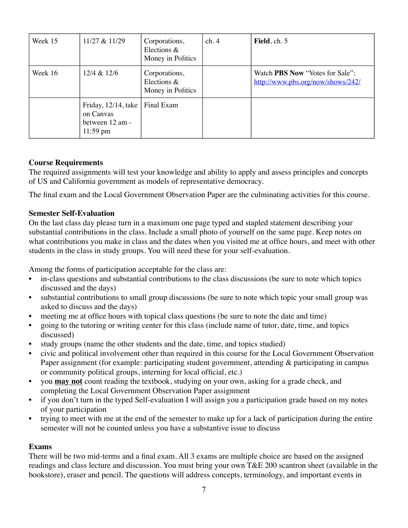| Week 15 | 11/27 & 11/29                                                             | Corporations,<br>Elections &<br>Money in Politics | ch.4 | Field, ch. 5                                                                |
|---------|---------------------------------------------------------------------------|---------------------------------------------------|------|-----------------------------------------------------------------------------|
| Week 16 | 12/4 & 12/6                                                               | Corporations,<br>Elections &<br>Money in Politics |      | Watch <b>PBS</b> Now "Votes for Sale":<br>http://www.pbs.org/now/shows/242/ |
|         | Friday, 12/14, take<br>on Canvas<br>between 12 am -<br>$11:59 \text{ pm}$ | Final Exam                                        |      |                                                                             |

## **Course Requirements**

The required assignments will test your knowledge and ability to apply and assess principles and concepts of US and California government as models of representative democracy.

The final exam and the Local Government Observation Paper are the culminating activities for this course.

#### **Semester Self-Evaluation**

On the last class day please turn in a maximum one page typed and stapled statement describing your substantial contributions in the class. Include a small photo of yourself on the same page. Keep notes on what contributions you make in class and the dates when you visited me at office hours, and meet with other students in the class in study groups. You will need these for your self-evaluation.

Among the forms of participation acceptable for the class are:

- in-class questions and substantial contributions to the class discussions (be sure to note which topics discussed and the days)
- substantial contributions to small group discussions (be sure to note which topic your small group was asked to discuss and the days)
- meeting me at office hours with topical class questions (be sure to note the date and time)
- going to the tutoring or writing center for this class (include name of tutor, date, time, and topics discussed)
- study groups (name the other students and the date, time, and topics studied)
- civic and political involvement other than required in this course for the Local Government Observation Paper assignment (for example: participating student government, attending & participating in campus or community political groups, interning for local official, etc.)
- you **may not** count reading the textbook, studying on your own, asking for a grade check, and completing the Local Government Observation Paper assignment
- if you don't turn in the typed Self-evaluation I will assign you a participation grade based on my notes of your participation
- trying to meet with me at the end of the semester to make up for a lack of participation during the entire semester will not be counted unless you have a substantive issue to discuss

#### **Exams**

There will be two mid-terms and a final exam. All 3 exams are multiple choice are based on the assigned readings and class lecture and discussion. You must bring your own T&E 200 scantron sheet (available in the bookstore), eraser and pencil. The questions will address concepts, terminology, and important events in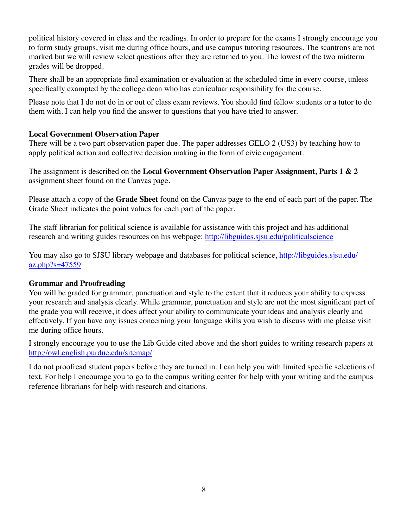political history covered in class and the readings. In order to prepare for the exams I strongly encourage you to form study groups, visit me during office hours, and use campus tutoring resources. The scantrons are not marked but we will review select questions after they are returned to you. The lowest of the two midterm grades will be dropped.

There shall be an appropriate final examination or evaluation at the scheduled time in every course, unless specifically exampted by the college dean who has curriculuar responsibility for the course.

Please note that I do not do in or out of class exam reviews. You should find fellow students or a tutor to do them with. I can help you find the answer to questions that you have tried to answer.

#### **Local Government Observation Paper**

There will be a two part observation paper due. The paper addresses GELO 2 (US3) by teaching how to apply political action and collective decision making in the form of civic engagement.

The assignment is described on the **Local Government Observation Paper Assignment, Parts 1 & 2** assignment sheet found on the Canvas page.

Please attach a copy of the **Grade Sheet** found on the Canvas page to the end of each part of the paper. The Grade Sheet indicates the point values for each part of the paper.

The staff librarian for political science is available for assistance with this project and has additional research and writing guides resources on his webpage: <http://libguides.sjsu.edu/politicalscience>

[You may also go to SJSU library webpage and databases for political science, http://libguides.sjsu.edu/](http://libguides.sjsu.edu/az.php?s=47559) az.php?s=47559

#### **Grammar and Proofreading**

You will be graded for grammar, punctuation and style to the extent that it reduces your ability to express your research and analysis clearly. While grammar, punctuation and style are not the most significant part of the grade you will receive, it does affect your ability to communicate your ideas and analysis clearly and effectively. If you have any issues concerning your language skills you wish to discuss with me please visit me during office hours.

I strongly encourage you to use the Lib Guide cited above and the short guides to writing research papers at <http://owl.english.purdue.edu/sitemap/>

I do not proofread student papers before they are turned in. I can help you with limited specific selections of text. For help I encourage you to go to the campus writing center for help with your writing and the campus reference librarians for help with research and citations.